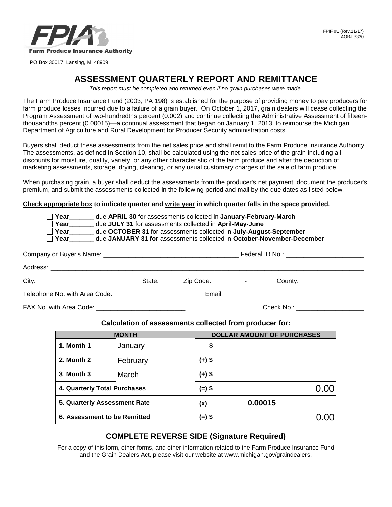

# **ASSESSMENT QUARTERLY REPORT AND REMITTANCE**

This report must be completed and returned even if no grain purchases were made.

 The Farm Produce Insurance Fund (2003, PA 198) is established for the purpose of providing money to pay producers for farm produce losses incurred due to a failure of a grain buyer. On October 1, 2017, grain dealers will cease collecting the thousandths percent (0.00015)—a continual assessment that began on January 1, 2013, to reimburse the Michigan Department of Agriculture and Rural Development for Producer Security administration costs. Program Assessment of two-hundredths percent (0.002) and continue collecting the Administrative Assessment of fifteen-

 marketing assessments, storage, drying, cleaning, or any usual customary charges of the sale of farm produce. Buyers shall deduct these assessments from the net sales price and shall remit to the Farm Produce Insurance Authority. The assessments, as defined in Section 10, shall be calculated using the net sales price of the grain including all discounts for moisture, quality, variety, or any other characteristic of the farm produce and after the deduction of

When purchasing grain, a buyer shall deduct the assessments from the producer's net payment, document the producer's premium, and submit the assessments collected in the following period and mail by the due dates as listed below.

**Check appropriate box to indicate quarter and write year in which quarter falls in the space provided.**

| Year<br>due APRIL 30 for assessments collected in January-February-March<br>Year due JULY 31 for assessments collected in April-May-June<br>due OCTOBER 31 for assessments collected in July-August-September<br>Year<br>due JANUARY 31 for assessments collected in October-November-December |  |  |  |  |  |
|------------------------------------------------------------------------------------------------------------------------------------------------------------------------------------------------------------------------------------------------------------------------------------------------|--|--|--|--|--|
|                                                                                                                                                                                                                                                                                                |  |  |  |  |  |
|                                                                                                                                                                                                                                                                                                |  |  |  |  |  |
| City: _________________________________State: _______ Zip Code: _________-_-_______County: ___________________                                                                                                                                                                                 |  |  |  |  |  |
|                                                                                                                                                                                                                                                                                                |  |  |  |  |  |

FAX No. with Area Code:  $\overline{a}$  and  $\overline{b}$  and  $\overline{c}$  and  $\overline{c}$  and  $\overline{c}$  and  $\overline{c}$  and  $\overline{c}$  and  $\overline{c}$  and  $\overline{c}$  and  $\overline{c}$  and  $\overline{c}$  and  $\overline{c}$  and  $\overline{c}$  and  $\overline{c}$  and  $\overline{c}$  and  $\over$ 

#### **Calculation of assessments collected from producer for:**

| <b>MONTH</b>                 |          | <b>DOLLAR AMOUNT OF PURCHASES</b> |  |
|------------------------------|----------|-----------------------------------|--|
| 1. Month 1                   | January  | \$                                |  |
| 2. Month 2                   | February | (+) \$                            |  |
| 3. Month 3                   | March    | $(+)$ \$                          |  |
| 4. Quarterly Total Purchases |          | (=) \$                            |  |
| 5. Quarterly Assessment Rate |          | 0.00015<br>(x)                    |  |
| 6. Assessment to be Remitted |          | (=) \$                            |  |

## **COMPLETE REVERSE SIDE (Signature Required)**

 For a copy of this form, other forms, and other information related to the Farm Produce Insurance Fund and the Grain Dealers Act, please visit our website at [www.michigan.gov/graindealers.](www.michigan.gov/graindealers)